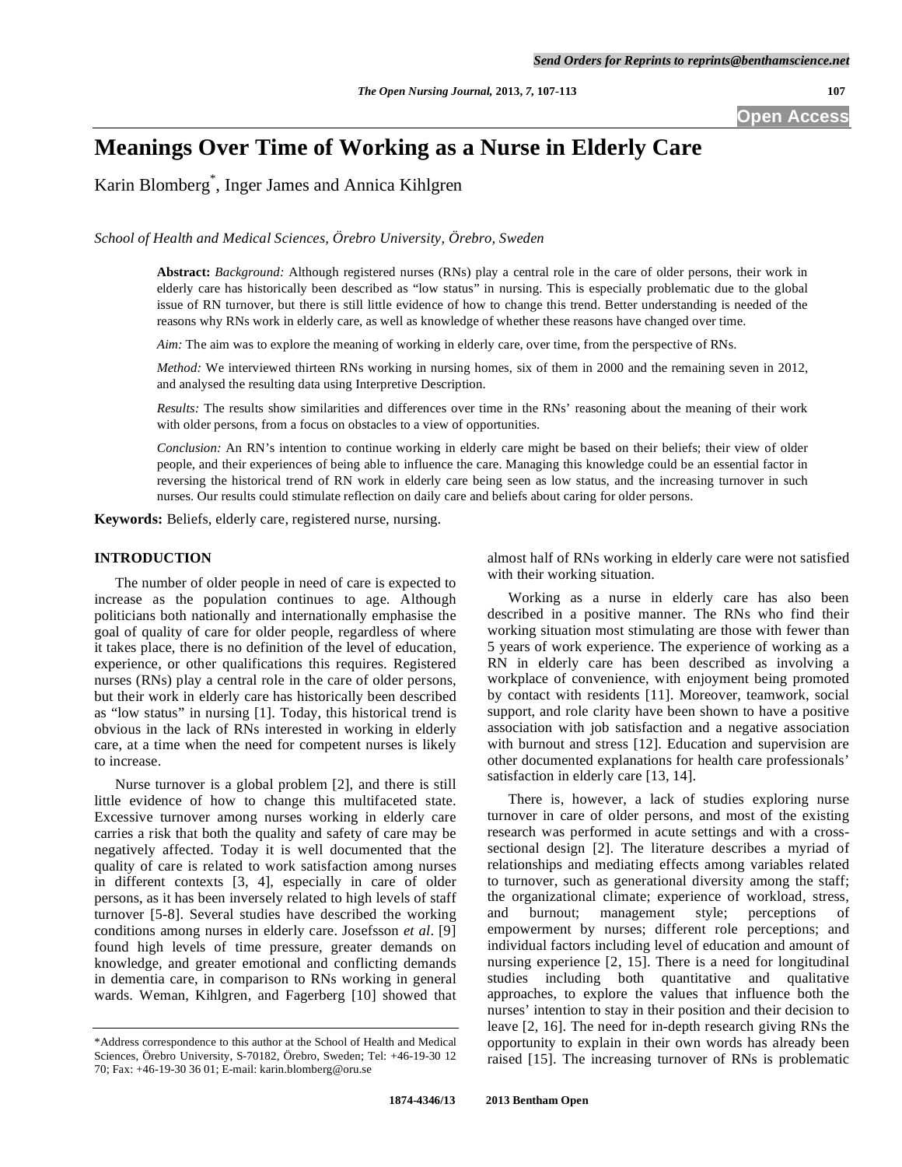**Open Access** 

# **Meanings Over Time of Working as a Nurse in Elderly Care**

Karin Blomberg\* , Inger James and Annica Kihlgren

*School of Health and Medical Sciences, Örebro University, Örebro, Sweden* 

**Abstract:** *Background:* Although registered nurses (RNs) play a central role in the care of older persons, their work in elderly care has historically been described as "low status" in nursing. This is especially problematic due to the global issue of RN turnover, but there is still little evidence of how to change this trend. Better understanding is needed of the reasons why RNs work in elderly care, as well as knowledge of whether these reasons have changed over time.

*Aim:* The aim was to explore the meaning of working in elderly care, over time, from the perspective of RNs.

*Method:* We interviewed thirteen RNs working in nursing homes, six of them in 2000 and the remaining seven in 2012, and analysed the resulting data using Interpretive Description.

*Results:* The results show similarities and differences over time in the RNs' reasoning about the meaning of their work with older persons, from a focus on obstacles to a view of opportunities.

*Conclusion:* An RN's intention to continue working in elderly care might be based on their beliefs; their view of older people, and their experiences of being able to influence the care. Managing this knowledge could be an essential factor in reversing the historical trend of RN work in elderly care being seen as low status, and the increasing turnover in such nurses. Our results could stimulate reflection on daily care and beliefs about caring for older persons.

**Keywords:** Beliefs, elderly care, registered nurse, nursing.

## **INTRODUCTION**

 The number of older people in need of care is expected to increase as the population continues to age. Although politicians both nationally and internationally emphasise the goal of quality of care for older people, regardless of where it takes place, there is no definition of the level of education, experience, or other qualifications this requires. Registered nurses (RNs) play a central role in the care of older persons, but their work in elderly care has historically been described as "low status" in nursing [1]. Today, this historical trend is obvious in the lack of RNs interested in working in elderly care, at a time when the need for competent nurses is likely to increase.

 Nurse turnover is a global problem [2], and there is still little evidence of how to change this multifaceted state. Excessive turnover among nurses working in elderly care carries a risk that both the quality and safety of care may be negatively affected. Today it is well documented that the quality of care is related to work satisfaction among nurses in different contexts [3, 4], especially in care of older persons, as it has been inversely related to high levels of staff turnover [5-8]. Several studies have described the working conditions among nurses in elderly care. Josefsson *et al*. [9] found high levels of time pressure, greater demands on knowledge, and greater emotional and conflicting demands in dementia care, in comparison to RNs working in general wards. Weman, Kihlgren, and Fagerberg [10] showed that almost half of RNs working in elderly care were not satisfied with their working situation.

 Working as a nurse in elderly care has also been described in a positive manner. The RNs who find their working situation most stimulating are those with fewer than 5 years of work experience. The experience of working as a RN in elderly care has been described as involving a workplace of convenience, with enjoyment being promoted by contact with residents [11]. Moreover, teamwork, social support, and role clarity have been shown to have a positive association with job satisfaction and a negative association with burnout and stress [12]. Education and supervision are other documented explanations for health care professionals' satisfaction in elderly care [13, 14].

 There is, however, a lack of studies exploring nurse turnover in care of older persons, and most of the existing research was performed in acute settings and with a crosssectional design [2]. The literature describes a myriad of relationships and mediating effects among variables related to turnover, such as generational diversity among the staff; the organizational climate; experience of workload, stress, and burnout; management style; perceptions of empowerment by nurses; different role perceptions; and individual factors including level of education and amount of nursing experience [2, 15]. There is a need for longitudinal studies including both quantitative and qualitative approaches, to explore the values that influence both the nurses' intention to stay in their position and their decision to leave [2, 16]. The need for in-depth research giving RNs the opportunity to explain in their own words has already been raised [15]. The increasing turnover of RNs is problematic

<sup>\*</sup>Address correspondence to this author at the School of Health and Medical Sciences, Örebro University, S-70182, Örebro, Sweden; Tel: +46-19-30 12 70; Fax: +46-19-30 36 01; E-mail: karin.blomberg@oru.se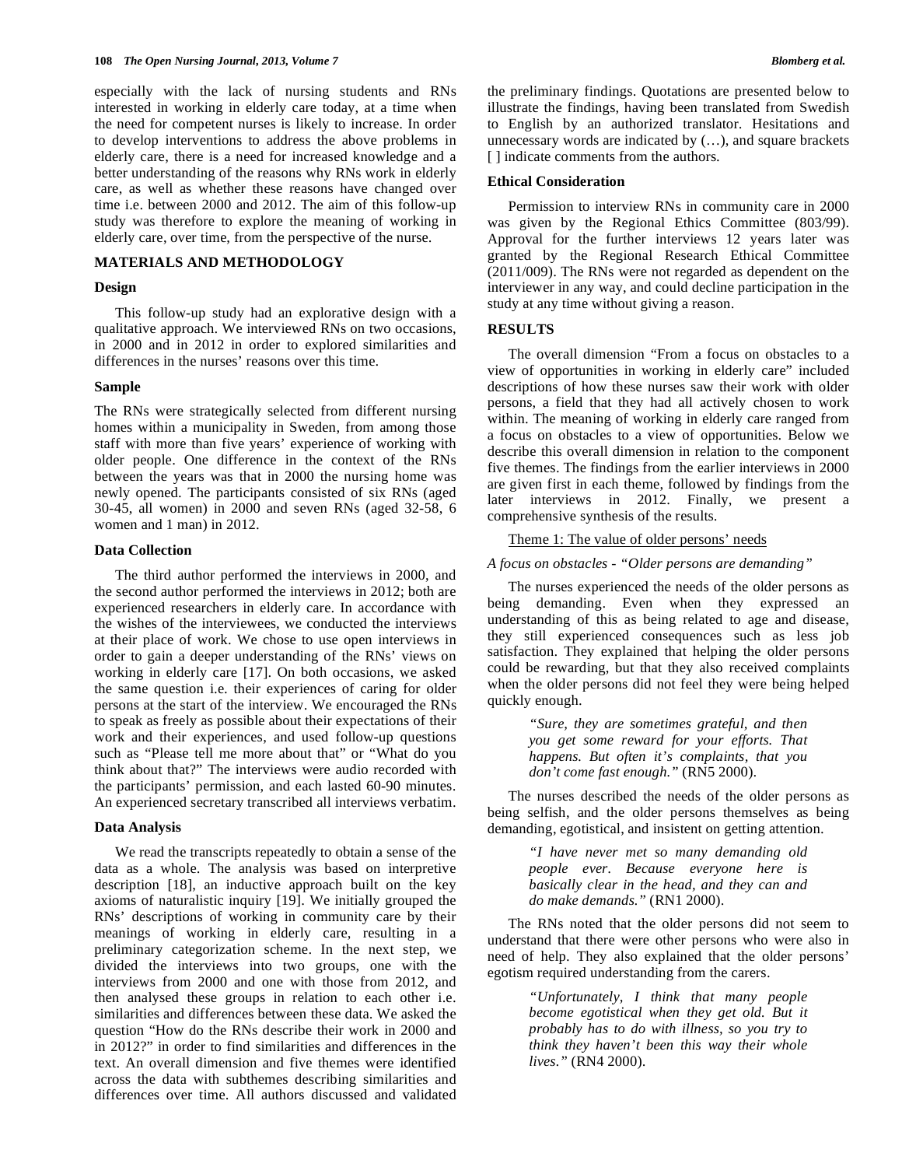especially with the lack of nursing students and RNs interested in working in elderly care today, at a time when the need for competent nurses is likely to increase. In order to develop interventions to address the above problems in elderly care, there is a need for increased knowledge and a better understanding of the reasons why RNs work in elderly care, as well as whether these reasons have changed over time i.e. between 2000 and 2012. The aim of this follow-up study was therefore to explore the meaning of working in elderly care, over time, from the perspective of the nurse.

## **MATERIALS AND METHODOLOGY**

## **Design**

 This follow-up study had an explorative design with a qualitative approach. We interviewed RNs on two occasions, in 2000 and in 2012 in order to explored similarities and differences in the nurses' reasons over this time.

## **Sample**

The RNs were strategically selected from different nursing homes within a municipality in Sweden, from among those staff with more than five years' experience of working with older people. One difference in the context of the RNs between the years was that in 2000 the nursing home was newly opened. The participants consisted of six RNs (aged 30-45, all women) in 2000 and seven RNs (aged 32-58, 6 women and 1 man) in 2012.

#### **Data Collection**

 The third author performed the interviews in 2000, and the second author performed the interviews in 2012; both are experienced researchers in elderly care. In accordance with the wishes of the interviewees, we conducted the interviews at their place of work. We chose to use open interviews in order to gain a deeper understanding of the RNs' views on working in elderly care [17]. On both occasions, we asked the same question i.e. their experiences of caring for older persons at the start of the interview. We encouraged the RNs to speak as freely as possible about their expectations of their work and their experiences, and used follow-up questions such as "Please tell me more about that" or "What do you think about that?" The interviews were audio recorded with the participants' permission, and each lasted 60-90 minutes. An experienced secretary transcribed all interviews verbatim.

#### **Data Analysis**

 We read the transcripts repeatedly to obtain a sense of the data as a whole. The analysis was based on interpretive description [18], an inductive approach built on the key axioms of naturalistic inquiry [19]. We initially grouped the RNs' descriptions of working in community care by their meanings of working in elderly care, resulting in a preliminary categorization scheme. In the next step, we divided the interviews into two groups, one with the interviews from 2000 and one with those from 2012, and then analysed these groups in relation to each other i.e. similarities and differences between these data. We asked the question "How do the RNs describe their work in 2000 and in 2012?" in order to find similarities and differences in the text. An overall dimension and five themes were identified across the data with subthemes describing similarities and differences over time. All authors discussed and validated

the preliminary findings. Quotations are presented below to illustrate the findings, having been translated from Swedish to English by an authorized translator. Hesitations and unnecessary words are indicated by (…), and square brackets [ ] indicate comments from the authors.

#### **Ethical Consideration**

 Permission to interview RNs in community care in 2000 was given by the Regional Ethics Committee (803/99). Approval for the further interviews 12 years later was granted by the Regional Research Ethical Committee (2011/009). The RNs were not regarded as dependent on the interviewer in any way, and could decline participation in the study at any time without giving a reason.

## **RESULTS**

 The overall dimension "From a focus on obstacles to a view of opportunities in working in elderly care" included descriptions of how these nurses saw their work with older persons, a field that they had all actively chosen to work within. The meaning of working in elderly care ranged from a focus on obstacles to a view of opportunities. Below we describe this overall dimension in relation to the component five themes. The findings from the earlier interviews in 2000 are given first in each theme, followed by findings from the later interviews in 2012. Finally, we present a comprehensive synthesis of the results.

#### Theme 1: The value of older persons' needs

## *A focus on obstacles - "Older persons are demanding"*

 The nurses experienced the needs of the older persons as being demanding. Even when they expressed an understanding of this as being related to age and disease, they still experienced consequences such as less job satisfaction. They explained that helping the older persons could be rewarding, but that they also received complaints when the older persons did not feel they were being helped quickly enough.

> *"Sure, they are sometimes grateful, and then you get some reward for your efforts. That happens. But often it's complaints, that you don't come fast enough."* (RN5 2000).

 The nurses described the needs of the older persons as being selfish, and the older persons themselves as being demanding, egotistical, and insistent on getting attention.

> *"I have never met so many demanding old people ever. Because everyone here is basically clear in the head, and they can and do make demands."* (RN1 2000).

 The RNs noted that the older persons did not seem to understand that there were other persons who were also in need of help. They also explained that the older persons' egotism required understanding from the carers.

> *"Unfortunately, I think that many people become egotistical when they get old. But it probably has to do with illness, so you try to think they haven't been this way their whole lives."* (RN4 2000).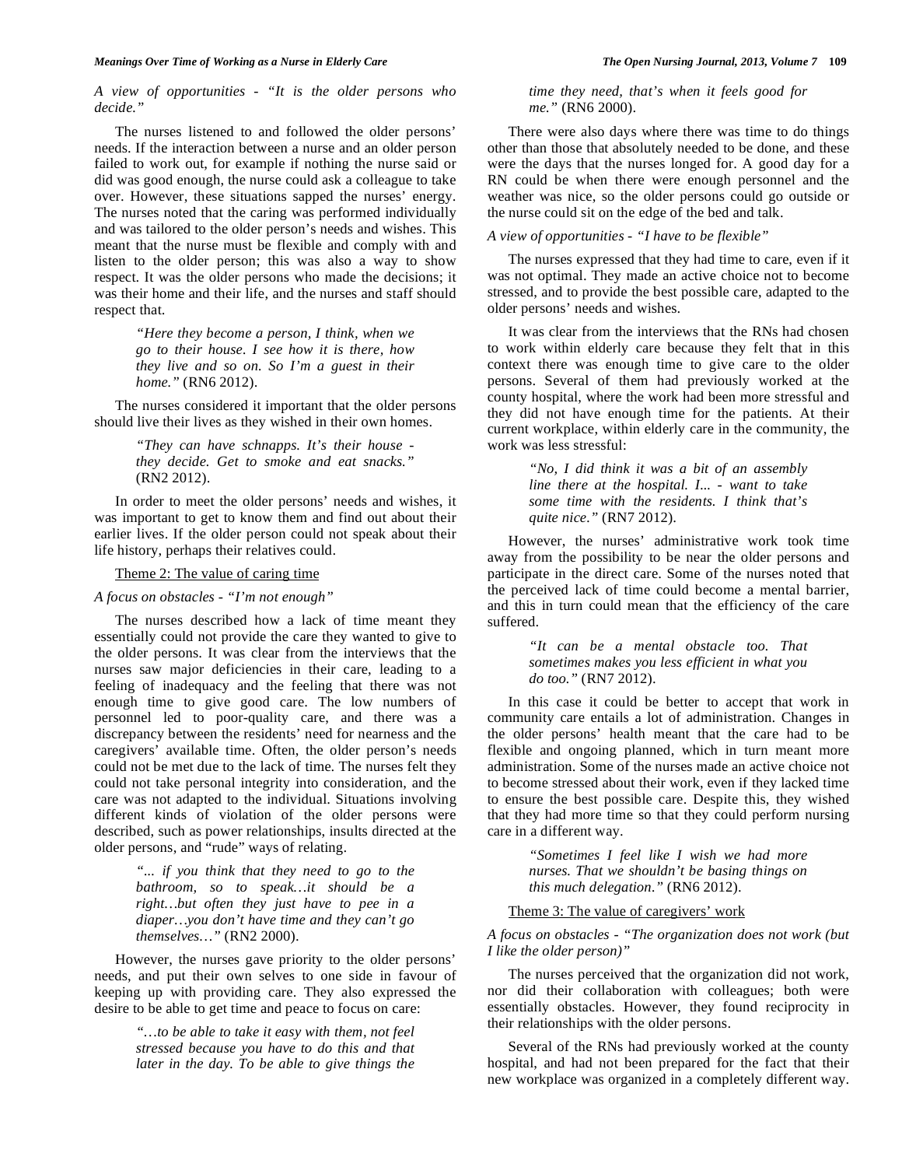*A view of opportunities - "It is the older persons who decide."* 

 The nurses listened to and followed the older persons' needs. If the interaction between a nurse and an older person failed to work out, for example if nothing the nurse said or did was good enough, the nurse could ask a colleague to take over. However, these situations sapped the nurses' energy. The nurses noted that the caring was performed individually and was tailored to the older person's needs and wishes. This meant that the nurse must be flexible and comply with and listen to the older person; this was also a way to show respect. It was the older persons who made the decisions; it was their home and their life, and the nurses and staff should respect that.

> *"Here they become a person, I think, when we go to their house. I see how it is there, how they live and so on. So I'm a guest in their home."* (RN6 2012).

 The nurses considered it important that the older persons should live their lives as they wished in their own homes.

> *"They can have schnapps. It's their house they decide. Get to smoke and eat snacks."*  (RN2 2012).

 In order to meet the older persons' needs and wishes, it was important to get to know them and find out about their earlier lives. If the older person could not speak about their life history, perhaps their relatives could.

### Theme 2: The value of caring time

#### *A focus on obstacles - "I'm not enough"*

 The nurses described how a lack of time meant they essentially could not provide the care they wanted to give to the older persons. It was clear from the interviews that the nurses saw major deficiencies in their care, leading to a feeling of inadequacy and the feeling that there was not enough time to give good care. The low numbers of personnel led to poor-quality care, and there was a discrepancy between the residents' need for nearness and the caregivers' available time. Often, the older person's needs could not be met due to the lack of time. The nurses felt they could not take personal integrity into consideration, and the care was not adapted to the individual. Situations involving different kinds of violation of the older persons were described, such as power relationships, insults directed at the older persons, and "rude" ways of relating.

> *"... if you think that they need to go to the bathroom, so to speak…it should be a right…but often they just have to pee in a diaper…you don't have time and they can't go themselves…"* (RN2 2000).

 However, the nurses gave priority to the older persons' needs, and put their own selves to one side in favour of keeping up with providing care. They also expressed the desire to be able to get time and peace to focus on care:

> *"…to be able to take it easy with them, not feel stressed because you have to do this and that later in the day. To be able to give things the*

*time they need, that's when it feels good for me."* (RN6 2000).

 There were also days where there was time to do things other than those that absolutely needed to be done, and these were the days that the nurses longed for. A good day for a RN could be when there were enough personnel and the weather was nice, so the older persons could go outside or the nurse could sit on the edge of the bed and talk.

## *A view of opportunities - "I have to be flexible"*

 The nurses expressed that they had time to care, even if it was not optimal. They made an active choice not to become stressed, and to provide the best possible care, adapted to the older persons' needs and wishes.

 It was clear from the interviews that the RNs had chosen to work within elderly care because they felt that in this context there was enough time to give care to the older persons. Several of them had previously worked at the county hospital, where the work had been more stressful and they did not have enough time for the patients. At their current workplace, within elderly care in the community, the work was less stressful:

> *"No, I did think it was a bit of an assembly line there at the hospital. I... - want to take some time with the residents. I think that's quite nice."* (RN7 2012).

 However, the nurses' administrative work took time away from the possibility to be near the older persons and participate in the direct care. Some of the nurses noted that the perceived lack of time could become a mental barrier, and this in turn could mean that the efficiency of the care suffered.

> *"It can be a mental obstacle too. That sometimes makes you less efficient in what you do too."* (RN7 2012).

 In this case it could be better to accept that work in community care entails a lot of administration. Changes in the older persons' health meant that the care had to be flexible and ongoing planned, which in turn meant more administration. Some of the nurses made an active choice not to become stressed about their work, even if they lacked time to ensure the best possible care. Despite this, they wished that they had more time so that they could perform nursing care in a different way.

> *"Sometimes I feel like I wish we had more nurses. That we shouldn't be basing things on this much delegation."* (RN6 2012).

#### Theme 3: The value of caregivers' work

*A focus on obstacles - "The organization does not work (but I like the older person)"* 

 The nurses perceived that the organization did not work, nor did their collaboration with colleagues; both were essentially obstacles. However, they found reciprocity in their relationships with the older persons.

 Several of the RNs had previously worked at the county hospital, and had not been prepared for the fact that their new workplace was organized in a completely different way.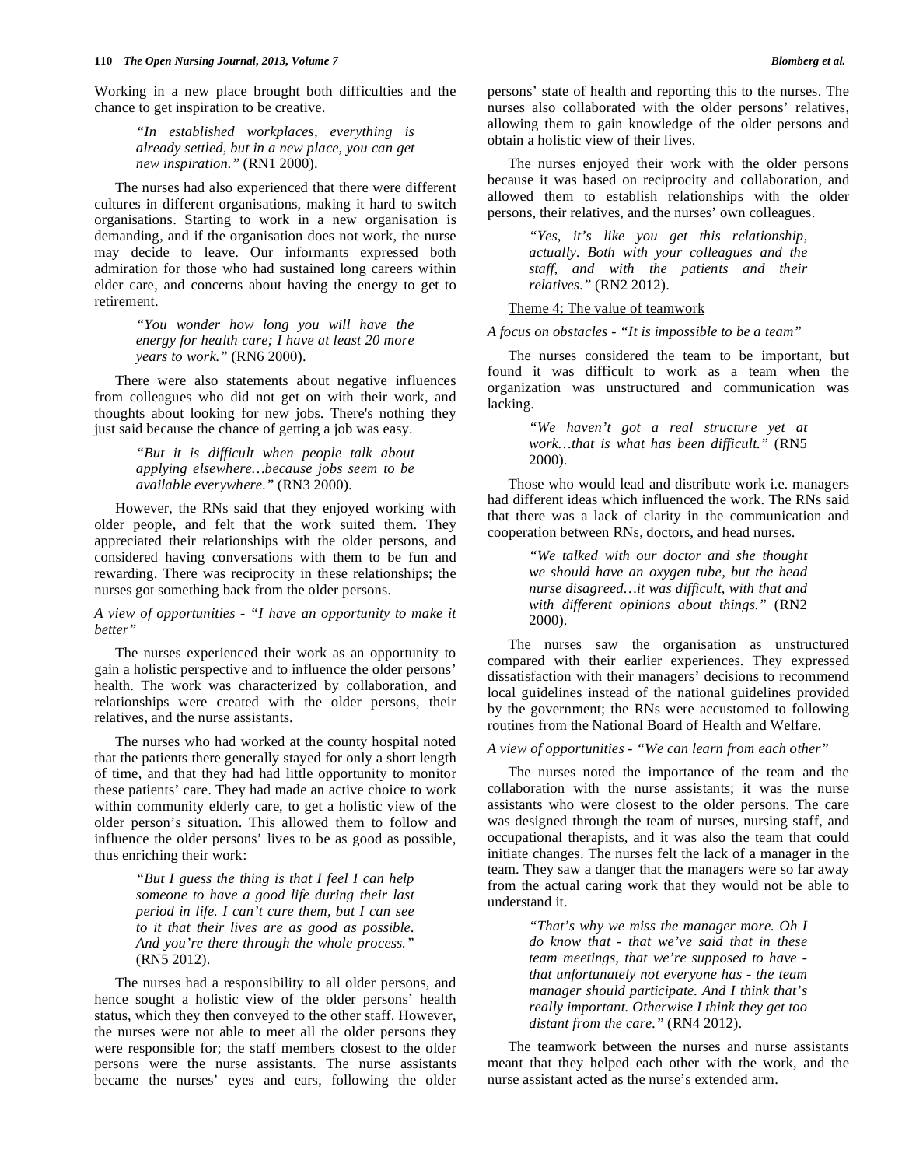*"In established workplaces, everything is already settled, but in a new place, you can get new inspiration."* (RN1 2000).

 The nurses had also experienced that there were different cultures in different organisations, making it hard to switch organisations. Starting to work in a new organisation is demanding, and if the organisation does not work, the nurse may decide to leave. Our informants expressed both admiration for those who had sustained long careers within elder care, and concerns about having the energy to get to retirement.

> *"You wonder how long you will have the energy for health care; I have at least 20 more years to work."* (RN6 2000).

 There were also statements about negative influences from colleagues who did not get on with their work, and thoughts about looking for new jobs. There's nothing they just said because the chance of getting a job was easy.

> *"But it is difficult when people talk about applying elsewhere…because jobs seem to be available everywhere."* (RN3 2000).

 However, the RNs said that they enjoyed working with older people, and felt that the work suited them. They appreciated their relationships with the older persons, and considered having conversations with them to be fun and rewarding. There was reciprocity in these relationships; the nurses got something back from the older persons.

*A view of opportunities - "I have an opportunity to make it better"* 

 The nurses experienced their work as an opportunity to gain a holistic perspective and to influence the older persons' health. The work was characterized by collaboration, and relationships were created with the older persons, their relatives, and the nurse assistants.

 The nurses who had worked at the county hospital noted that the patients there generally stayed for only a short length of time, and that they had had little opportunity to monitor these patients' care. They had made an active choice to work within community elderly care, to get a holistic view of the older person's situation. This allowed them to follow and influence the older persons' lives to be as good as possible, thus enriching their work:

> *"But I guess the thing is that I feel I can help someone to have a good life during their last period in life. I can't cure them, but I can see to it that their lives are as good as possible. And you're there through the whole process."* (RN5 2012).

 The nurses had a responsibility to all older persons, and hence sought a holistic view of the older persons' health status, which they then conveyed to the other staff. However, the nurses were not able to meet all the older persons they were responsible for; the staff members closest to the older persons were the nurse assistants. The nurse assistants became the nurses' eyes and ears, following the older

persons' state of health and reporting this to the nurses. The nurses also collaborated with the older persons' relatives, allowing them to gain knowledge of the older persons and obtain a holistic view of their lives.

 The nurses enjoyed their work with the older persons because it was based on reciprocity and collaboration, and allowed them to establish relationships with the older persons, their relatives, and the nurses' own colleagues.

> *"Yes, it's like you get this relationship, actually. Both with your colleagues and the staff, and with the patients and their relatives."* (RN2 2012).

## Theme 4: The value of teamwork

## *A focus on obstacles - "It is impossible to be a team"*

 The nurses considered the team to be important, but found it was difficult to work as a team when the organization was unstructured and communication was lacking.

> *"We haven't got a real structure yet at work…that is what has been difficult."* (RN5 2000).

 Those who would lead and distribute work i.e. managers had different ideas which influenced the work. The RNs said that there was a lack of clarity in the communication and cooperation between RNs, doctors, and head nurses.

> *"We talked with our doctor and she thought we should have an oxygen tube, but the head nurse disagreed…it was difficult, with that and with different opinions about things."* (RN2 2000).

 The nurses saw the organisation as unstructured compared with their earlier experiences. They expressed dissatisfaction with their managers' decisions to recommend local guidelines instead of the national guidelines provided by the government; the RNs were accustomed to following routines from the National Board of Health and Welfare.

## *A view of opportunities - "We can learn from each other"*

 The nurses noted the importance of the team and the collaboration with the nurse assistants; it was the nurse assistants who were closest to the older persons. The care was designed through the team of nurses, nursing staff, and occupational therapists, and it was also the team that could initiate changes. The nurses felt the lack of a manager in the team. They saw a danger that the managers were so far away from the actual caring work that they would not be able to understand it.

> *"That's why we miss the manager more. Oh I do know that - that we've said that in these team meetings, that we're supposed to have that unfortunately not everyone has - the team manager should participate. And I think that's really important. Otherwise I think they get too distant from the care."* (RN4 2012).

 The teamwork between the nurses and nurse assistants meant that they helped each other with the work, and the nurse assistant acted as the nurse's extended arm.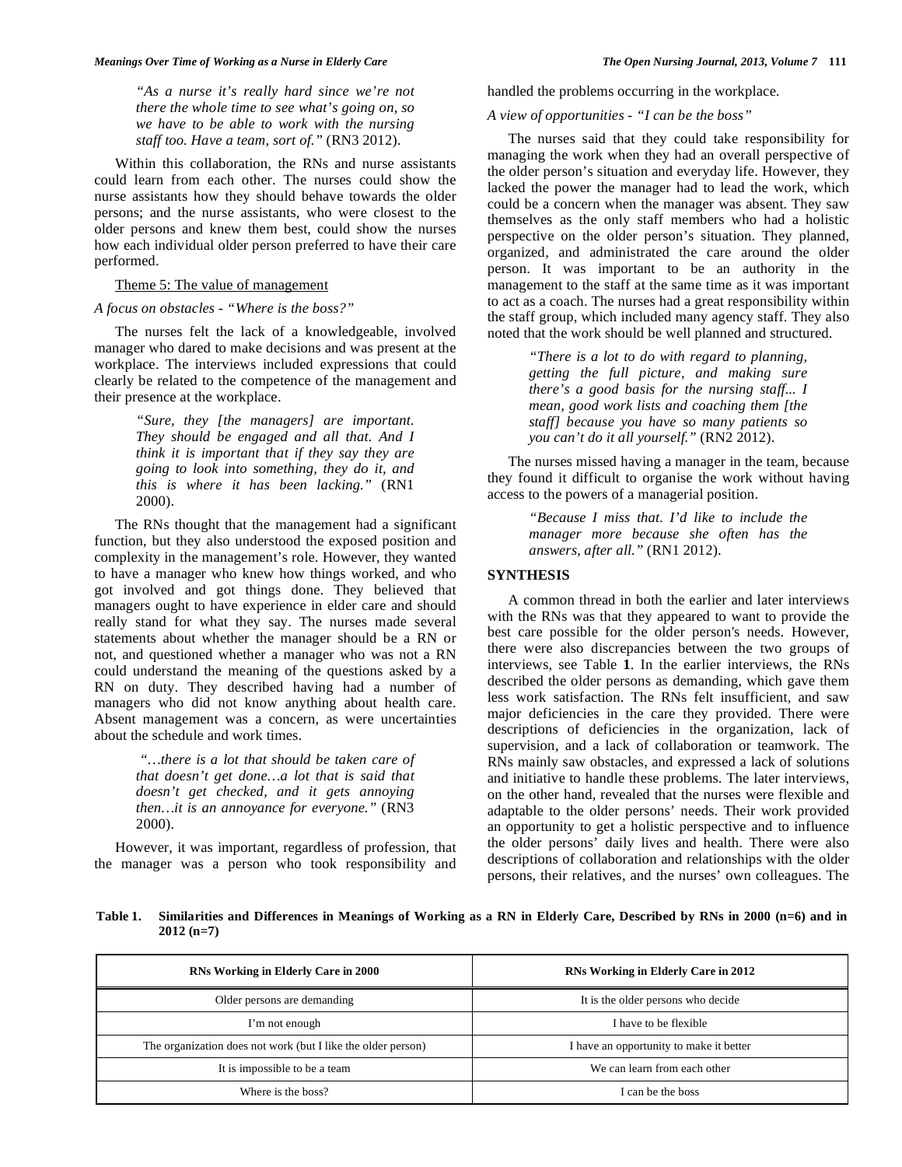*"As a nurse it's really hard since we're not there the whole time to see what's going on, so we have to be able to work with the nursing staff too. Have a team, sort of."* (RN3 2012).

 Within this collaboration, the RNs and nurse assistants could learn from each other. The nurses could show the nurse assistants how they should behave towards the older persons; and the nurse assistants, who were closest to the older persons and knew them best, could show the nurses how each individual older person preferred to have their care performed.

## Theme 5: The value of management

## *A focus on obstacles - "Where is the boss?"*

 The nurses felt the lack of a knowledgeable, involved manager who dared to make decisions and was present at the workplace. The interviews included expressions that could clearly be related to the competence of the management and their presence at the workplace.

> *"Sure, they [the managers] are important. They should be engaged and all that. And I think it is important that if they say they are going to look into something, they do it, and this is where it has been lacking."* (RN1 2000).

 The RNs thought that the management had a significant function, but they also understood the exposed position and complexity in the management's role. However, they wanted to have a manager who knew how things worked, and who got involved and got things done. They believed that managers ought to have experience in elder care and should really stand for what they say. The nurses made several statements about whether the manager should be a RN or not, and questioned whether a manager who was not a RN could understand the meaning of the questions asked by a RN on duty. They described having had a number of managers who did not know anything about health care. Absent management was a concern, as were uncertainties about the schedule and work times.

> *"…there is a lot that should be taken care of that doesn't get done…a lot that is said that doesn't get checked, and it gets annoying then…it is an annoyance for everyone."* (RN3 2000).

 However, it was important, regardless of profession, that the manager was a person who took responsibility and handled the problems occurring in the workplace.

# *A view of opportunities - "I can be the boss"*

 The nurses said that they could take responsibility for managing the work when they had an overall perspective of the older person's situation and everyday life. However, they lacked the power the manager had to lead the work, which could be a concern when the manager was absent. They saw themselves as the only staff members who had a holistic perspective on the older person's situation. They planned, organized, and administrated the care around the older person. It was important to be an authority in the management to the staff at the same time as it was important to act as a coach. The nurses had a great responsibility within the staff group, which included many agency staff. They also noted that the work should be well planned and structured.

> *"There is a lot to do with regard to planning, getting the full picture, and making sure there's a good basis for the nursing staff... I mean, good work lists and coaching them [the staff] because you have so many patients so you can't do it all yourself."* (RN2 2012).

 The nurses missed having a manager in the team, because they found it difficult to organise the work without having access to the powers of a managerial position.

> *"Because I miss that. I'd like to include the manager more because she often has the answers, after all."* (RN1 2012).

# **SYNTHESIS**

 A common thread in both the earlier and later interviews with the RNs was that they appeared to want to provide the best care possible for the older person's needs. However, there were also discrepancies between the two groups of interviews, see Table **1**. In the earlier interviews, the RNs described the older persons as demanding, which gave them less work satisfaction. The RNs felt insufficient, and saw major deficiencies in the care they provided. There were descriptions of deficiencies in the organization, lack of supervision, and a lack of collaboration or teamwork. The RNs mainly saw obstacles, and expressed a lack of solutions and initiative to handle these problems. The later interviews, on the other hand, revealed that the nurses were flexible and adaptable to the older persons' needs. Their work provided an opportunity to get a holistic perspective and to influence the older persons' daily lives and health. There were also descriptions of collaboration and relationships with the older persons, their relatives, and the nurses' own colleagues. The

**Table 1. Similarities and Differences in Meanings of Working as a RN in Elderly Care, Described by RNs in 2000 (n=6) and in 2012 (n=7)** 

| RNs Working in Elderly Care in 2000                          | RNs Working in Elderly Care in 2012     |
|--------------------------------------------------------------|-----------------------------------------|
| Older persons are demanding                                  | It is the older persons who decide      |
| I'm not enough                                               | I have to be flexible                   |
| The organization does not work (but I like the older person) | I have an opportunity to make it better |
| It is impossible to be a team                                | We can learn from each other            |
| Where is the boss?                                           | I can be the boss                       |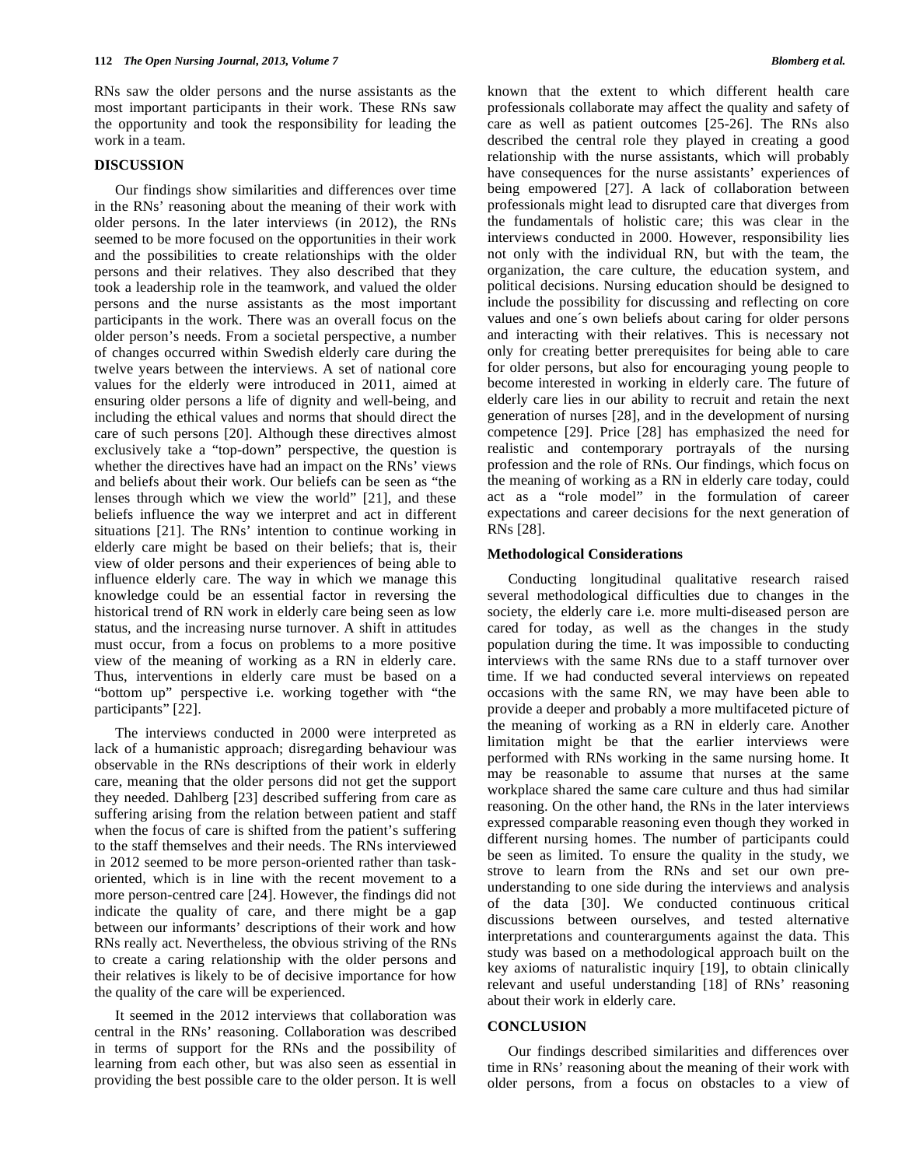RNs saw the older persons and the nurse assistants as the most important participants in their work. These RNs saw the opportunity and took the responsibility for leading the work in a team.

## **DISCUSSION**

 Our findings show similarities and differences over time in the RNs' reasoning about the meaning of their work with older persons. In the later interviews (in 2012), the RNs seemed to be more focused on the opportunities in their work and the possibilities to create relationships with the older persons and their relatives. They also described that they took a leadership role in the teamwork, and valued the older persons and the nurse assistants as the most important participants in the work. There was an overall focus on the older person's needs. From a societal perspective, a number of changes occurred within Swedish elderly care during the twelve years between the interviews. A set of national core values for the elderly were introduced in 2011, aimed at ensuring older persons a life of dignity and well-being, and including the ethical values and norms that should direct the care of such persons [20]. Although these directives almost exclusively take a "top-down" perspective, the question is whether the directives have had an impact on the RNs' views and beliefs about their work. Our beliefs can be seen as "the lenses through which we view the world" [21], and these beliefs influence the way we interpret and act in different situations [21]. The RNs' intention to continue working in elderly care might be based on their beliefs; that is, their view of older persons and their experiences of being able to influence elderly care. The way in which we manage this knowledge could be an essential factor in reversing the historical trend of RN work in elderly care being seen as low status, and the increasing nurse turnover. A shift in attitudes must occur, from a focus on problems to a more positive view of the meaning of working as a RN in elderly care. Thus, interventions in elderly care must be based on a "bottom up" perspective i.e. working together with "the participants" [22].

 The interviews conducted in 2000 were interpreted as lack of a humanistic approach; disregarding behaviour was observable in the RNs descriptions of their work in elderly care, meaning that the older persons did not get the support they needed. Dahlberg [23] described suffering from care as suffering arising from the relation between patient and staff when the focus of care is shifted from the patient's suffering to the staff themselves and their needs. The RNs interviewed in 2012 seemed to be more person-oriented rather than taskoriented, which is in line with the recent movement to a more person-centred care [24]. However, the findings did not indicate the quality of care, and there might be a gap between our informants' descriptions of their work and how RNs really act. Nevertheless, the obvious striving of the RNs to create a caring relationship with the older persons and their relatives is likely to be of decisive importance for how the quality of the care will be experienced.

 It seemed in the 2012 interviews that collaboration was central in the RNs' reasoning. Collaboration was described in terms of support for the RNs and the possibility of learning from each other, but was also seen as essential in providing the best possible care to the older person. It is well

known that the extent to which different health care professionals collaborate may affect the quality and safety of care as well as patient outcomes [25-26]. The RNs also described the central role they played in creating a good relationship with the nurse assistants, which will probably have consequences for the nurse assistants' experiences of being empowered [27]. A lack of collaboration between professionals might lead to disrupted care that diverges from the fundamentals of holistic care; this was clear in the interviews conducted in 2000. However, responsibility lies not only with the individual RN, but with the team, the organization, the care culture, the education system, and political decisions. Nursing education should be designed to include the possibility for discussing and reflecting on core values and one´s own beliefs about caring for older persons and interacting with their relatives. This is necessary not only for creating better prerequisites for being able to care for older persons, but also for encouraging young people to become interested in working in elderly care. The future of elderly care lies in our ability to recruit and retain the next generation of nurses [28], and in the development of nursing competence [29]. Price [28] has emphasized the need for realistic and contemporary portrayals of the nursing profession and the role of RNs. Our findings, which focus on the meaning of working as a RN in elderly care today, could act as a "role model" in the formulation of career expectations and career decisions for the next generation of RNs [28].

#### **Methodological Considerations**

 Conducting longitudinal qualitative research raised several methodological difficulties due to changes in the society, the elderly care i.e. more multi-diseased person are cared for today, as well as the changes in the study population during the time. It was impossible to conducting interviews with the same RNs due to a staff turnover over time. If we had conducted several interviews on repeated occasions with the same RN, we may have been able to provide a deeper and probably a more multifaceted picture of the meaning of working as a RN in elderly care. Another limitation might be that the earlier interviews were performed with RNs working in the same nursing home. It may be reasonable to assume that nurses at the same workplace shared the same care culture and thus had similar reasoning. On the other hand, the RNs in the later interviews expressed comparable reasoning even though they worked in different nursing homes. The number of participants could be seen as limited. To ensure the quality in the study, we strove to learn from the RNs and set our own preunderstanding to one side during the interviews and analysis of the data [30]. We conducted continuous critical discussions between ourselves, and tested alternative interpretations and counterarguments against the data. This study was based on a methodological approach built on the key axioms of naturalistic inquiry [19], to obtain clinically relevant and useful understanding [18] of RNs' reasoning about their work in elderly care.

#### **CONCLUSION**

 Our findings described similarities and differences over time in RNs' reasoning about the meaning of their work with older persons, from a focus on obstacles to a view of